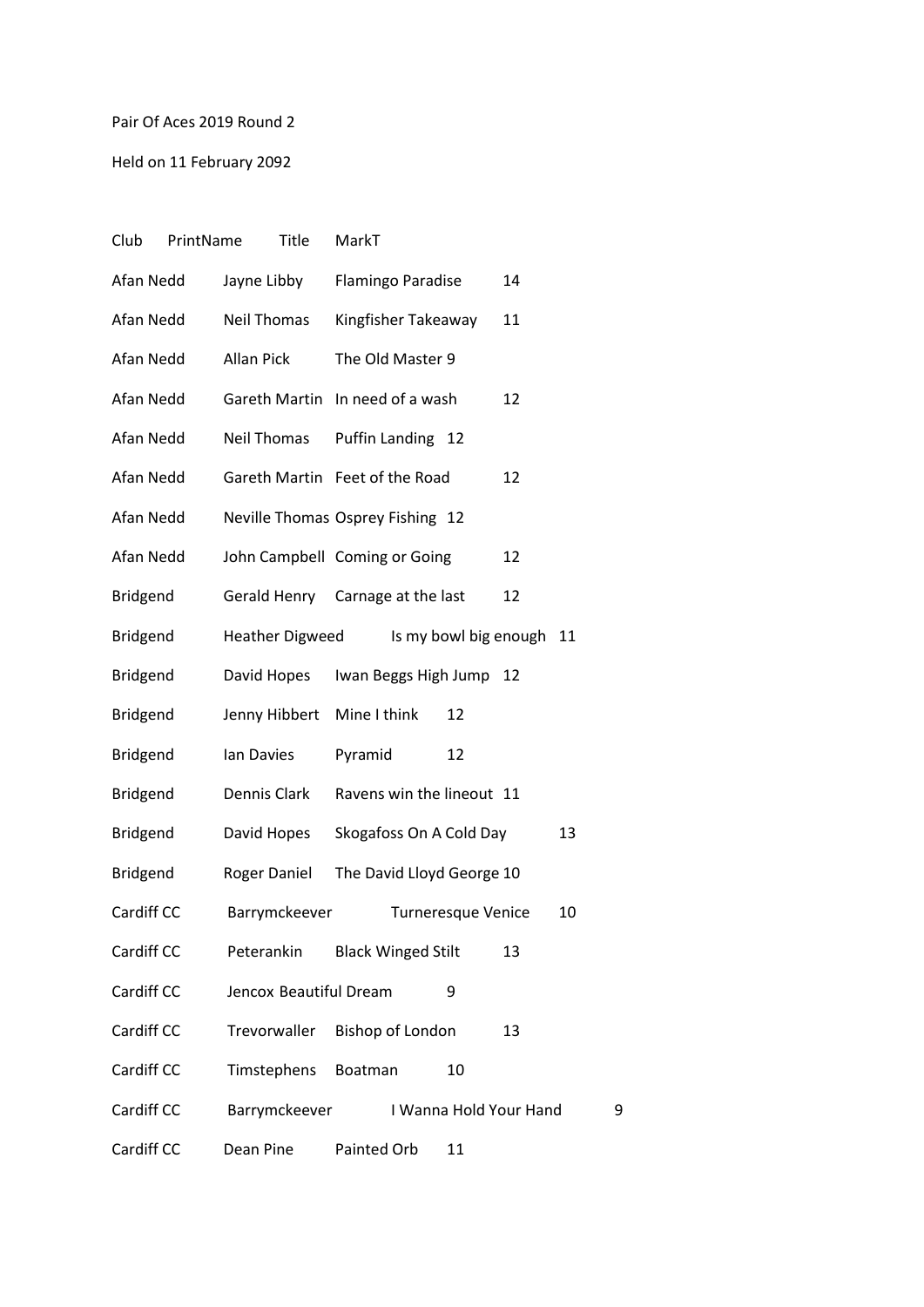## Pair Of Aces 2019 Round 2

Held on 11 February 2092

| Club       | PrintName | <b>Title</b>           | MarkT                            |                           |                        |    |
|------------|-----------|------------------------|----------------------------------|---------------------------|------------------------|----|
| Afan Nedd  |           | Jayne Libby            | Flamingo Paradise                |                           | 14                     |    |
| Afan Nedd  |           | <b>Neil Thomas</b>     | Kingfisher Takeaway              |                           | 11                     |    |
| Afan Nedd  |           | Allan Pick             | The Old Master 9                 |                           |                        |    |
| Afan Nedd  |           |                        | Gareth Martin In need of a wash  |                           | 12                     |    |
| Afan Nedd  |           | Neil Thomas            | Puffin Landing 12                |                           |                        |    |
| Afan Nedd  |           |                        | Gareth Martin Feet of the Road   |                           | 12                     |    |
| Afan Nedd  |           |                        | Neville Thomas Osprey Fishing 12 |                           |                        |    |
| Afan Nedd  |           |                        | John Campbell Coming or Going    |                           | 12                     |    |
| Bridgend   |           |                        | Gerald Henry Carnage at the last |                           | 12                     |    |
| Bridgend   |           | <b>Heather Digweed</b> |                                  | Is my bowl big enough     |                        | 11 |
| Bridgend   |           | David Hopes            | Iwan Beggs High Jump             |                           | 12                     |    |
| Bridgend   |           | Jenny Hibbert          | Mine I think                     | 12                        |                        |    |
| Bridgend   |           | lan Davies             | Pyramid                          | 12                        |                        |    |
| Bridgend   |           | Dennis Clark           | Ravens win the lineout 11        |                           |                        |    |
| Bridgend   |           | David Hopes            | Skogafoss On A Cold Day          |                           |                        | 13 |
| Bridgend   |           | Roger Daniel           | The David Lloyd George 10        |                           |                        |    |
| Cardiff CC |           | Barrymckeever          |                                  | <b>Turneresque Venice</b> |                        | 10 |
| Cardiff CC |           | Peterankin             | <b>Black Winged Stilt</b>        |                           | 13                     |    |
| Cardiff CC |           | Jencox Beautiful Dream |                                  | 9                         |                        |    |
| Cardiff CC |           | Trevorwaller           | <b>Bishop of London</b>          |                           | 13                     |    |
| Cardiff CC |           | Timstephens            | Boatman                          | 10                        |                        |    |
| Cardiff CC |           | Barrymckeever          |                                  |                           | I Wanna Hold Your Hand | 9  |
| Cardiff CC |           | Dean Pine              | Painted Orb                      | 11                        |                        |    |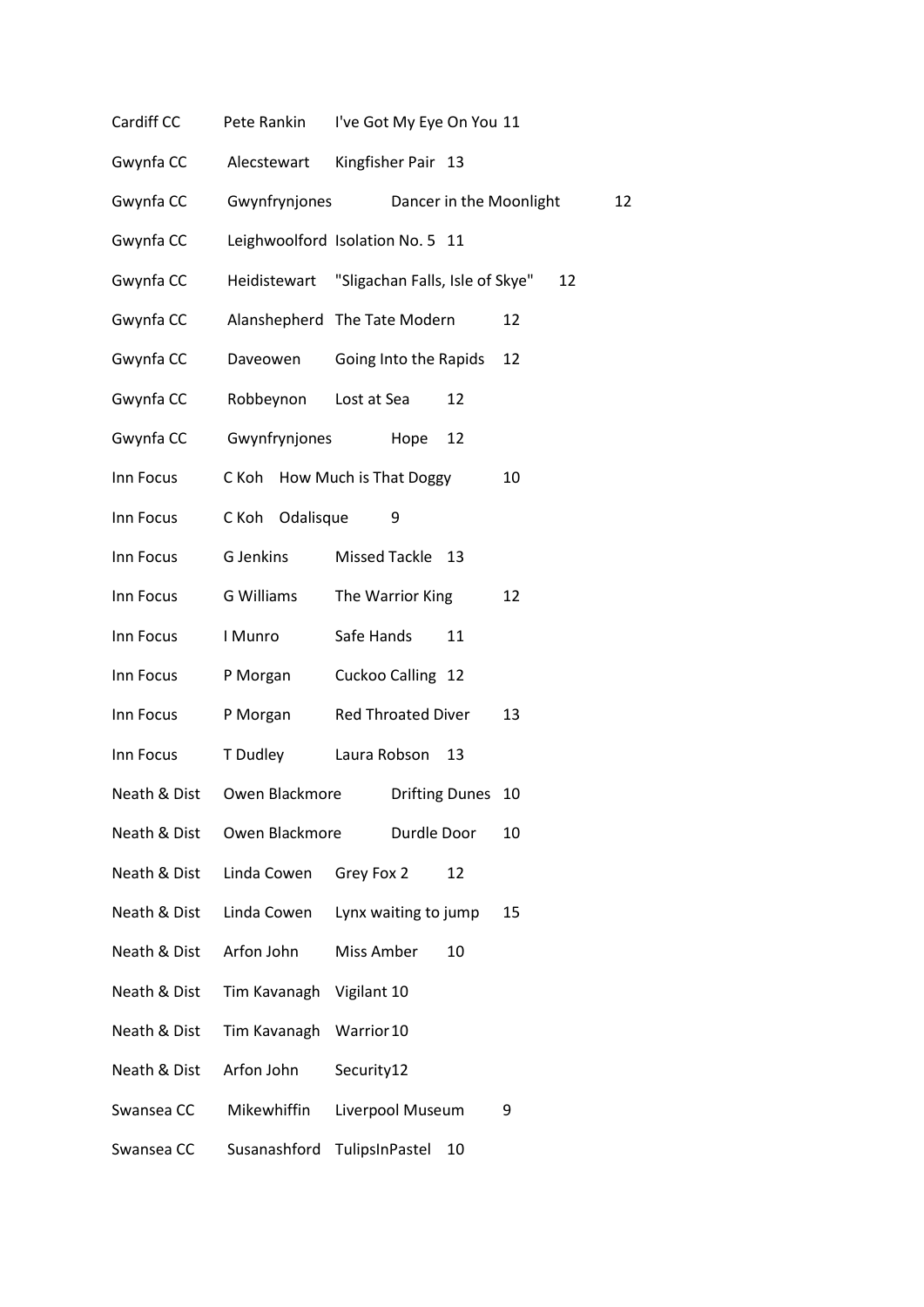- Cardiff CC Pete Rankin I've Got My Eye On You 11
- Gwynfa CC Alecstewart Kingfisher Pair 13
- Gwynfa CC Gwynfrynjones Dancer in the Moonlight 12
- Gwynfa CC Leighwoolford Isolation No. 5 11
- Gwynfa CC Heidistewart "Sligachan Falls, Isle of Skye" 12
- Gwynfa CC Alanshepherd The Tate Modern 12
- Gwynfa CC Daveowen Going Into the Rapids 12
- Gwynfa CC Robbeynon Lost at Sea 12
- Gwynfa CC Gwynfrynjones Hope 12
- Inn Focus C Koh How Much is That Doggy 10
- Inn Focus C Koh Odalisque 9
- Inn Focus G Jenkins Missed Tackle 13
- Inn Focus G Williams The Warrior King 12
- Inn Focus I Munro Safe Hands 11
- Inn Focus P Morgan Cuckoo Calling 12
- Inn Focus P Morgan Red Throated Diver 13
- Inn Focus T Dudley Laura Robson 13
- Neath & Dist Owen Blackmore Drifting Dunes 10
- Neath & Dist Owen Blackmore Durdle Door 10
- Neath & Dist Linda Cowen Grey Fox 2 12
- Neath & Dist Linda Cowen Lynx waiting to jump 15
- Neath & Dist Arfon John Miss Amber 10
- Neath & Dist Tim Kavanagh Vigilant 10
- Neath & Dist Tim Kavanagh Warrior10
- Neath & Dist Arfon John Security12
- Swansea CC Mikewhiffin Liverpool Museum 9
- Swansea CC Susanashford TulipsInPastel 10